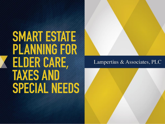# **SMART ESTATE** PLANNING FOR **ELDER CARE, TAXES AND SPECIAL NEEDS**



#### Lampertius  $&$  Associates, PLC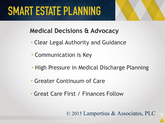

#### **Medical Decisions & Advocacy**

- Clear Legal Authority and Guidance
- Communication is Key
- High Pressure in Medical Discharge Planning
- Greater Continuum of Care
- Great Care First / Finances Follow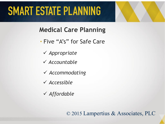**Medical Care Planning**

- Five "A's" for Safe Care
	- *Appropriate*
	- *Accountable*
	- *Accommodating*
	- *Accessible*
	- *Affordable*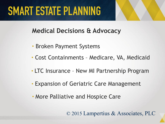

#### **Medical Decisions & Advocacy**

- Broken Payment Systems
- Cost Containments Medicare, VA, Medicaid
- **•** LTC Insurance New MI Partnership Program
- Expansion of Geriatric Care Management
- More Palliative and Hospice Care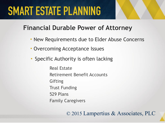#### **Financial Durable Power of Attorney**

- New Requirements due to Elder Abuse Concerns
- Overcoming Acceptance Issues
- Specific Authority is often lacking

Real Estate Retirement Benefit Accounts **Gifting** Trust Funding 529 Plans Family Caregivers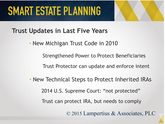

**Trust Updates in Last Five Years**

• New Michigan Trust Code in 2010

Strengthened Power to Protect Beneficiaries

Trust Protector can update and enforce intent

• New Technical Steps to Protect Inherited IRAs 2014 U.S. Supreme Court: "not protected" Trust can protect IRA, but needs to comply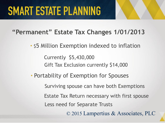#### **"Permanent" Estate Tax Changes 1/01/2013**

• \$5 Million Exemption indexed to inflation

Gift Tax Exclusion currently \$14,000 Currently \$5,430,000

• Portability of Exemption for Spouses

Surviving spouse can have both Exemptions

Less need for Separate Trusts Estate Tax Return necessary with first spouse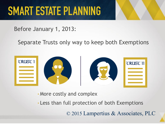#### Before January 1, 2013:

#### Separate Trusts only way to keep both Exemptions



• More costly and complex

• Less than full protection of both Exemptions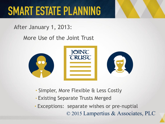After January 1, 2013:

More Use of the Joint Trust



- Simpler, More Flexible & Less Costly
- Existing Separate Trusts Merged

• Exceptions: separate wishes or pre-nuptial © 2015 Lampertius & Associates, PLC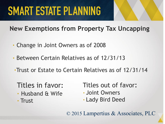**New Exemptions from Property Tax Uncapping**

- Change in Joint Owners as of 2008
- Between Certain Relatives as of 12/31/13
- •Trust or Estate to Certain Relatives as of 12/31/14

#### Titles in favor:

• Husband & Wife • Trust

Titles out of favor: • Joint Owners • Lady Bird Deed